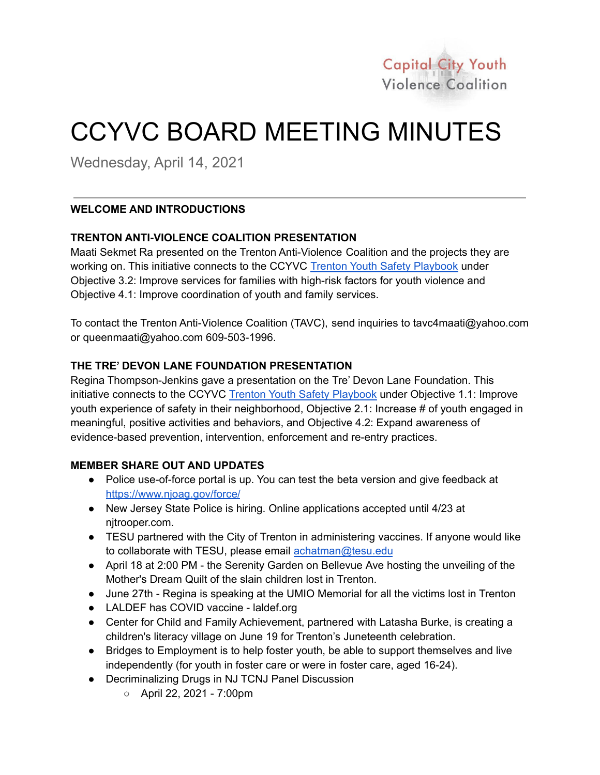

# CCYVC BOARD MEETING MINUTES

Wednesday, April 14, 2021

# **WELCOME AND INTRODUCTIONS**

# **TRENTON ANTI-VIOLENCE COALITION PRESENTATION**

Maati Sekmet Ra presented on the Trenton Anti-Violence Coalition and the projects they are working on. This initiative connects to the CCYVC Trenton Youth Safety [Playbook](https://ccyvc.pages.tcnj.edu/files/2019/04/CCYVC-Playbook-April-2019.pdf) under Objective 3.2: Improve services for families with high-risk factors for youth violence and Objective 4.1: Improve coordination of youth and family services.

To contact the Trenton Anti-Violence Coalition (TAVC), send inquiries to tavc4maati@yahoo.com or queenmaati@yahoo.com 609-503-1996.

### **THE TRE' DEVON LANE FOUNDATION PRESENTATION**

Regina Thompson-Jenkins gave a presentation on the Tre' Devon Lane Foundation. This initiative connects to the CCYVC Trenton Youth Safety [Playbook](https://ccyvc.pages.tcnj.edu/files/2019/04/CCYVC-Playbook-April-2019.pdf) under Objective 1.1: Improve youth experience of safety in their neighborhood, Objective 2.1: Increase # of youth engaged in meaningful, positive activities and behaviors, and Objective 4.2: Expand awareness of evidence-based prevention, intervention, enforcement and re-entry practices.

### **MEMBER SHARE OUT AND UPDATES**

- Police use-of-force portal is up. You can test the beta version and give feedback at <https://www.njoag.gov/force/>
- New Jersey State Police is hiring. Online applications accepted until 4/23 at njtrooper.com.
- TESU partnered with the City of Trenton in administering vaccines. If anyone would like to collaborate with TESU, please email [achatman@tesu.edu](mailto:achatman@tesu.edu)
- April 18 at 2:00 PM the Serenity Garden on Bellevue Ave hosting the unveiling of the Mother's Dream Quilt of the slain children lost in Trenton.
- June 27th Regina is speaking at the UMIO Memorial for all the victims lost in Trenton
- LALDEF has COVID vaccine laldef.org
- Center for Child and Family Achievement, partnered with Latasha Burke, is creating a children's literacy village on June 19 for Trenton's Juneteenth celebration.
- Bridges to Employment is to help foster youth, be able to support themselves and live independently (for youth in foster care or were in foster care, aged 16-24).
- Decriminalizing Drugs in NJ TCNJ Panel Discussion
	- April 22, 2021 7:00pm